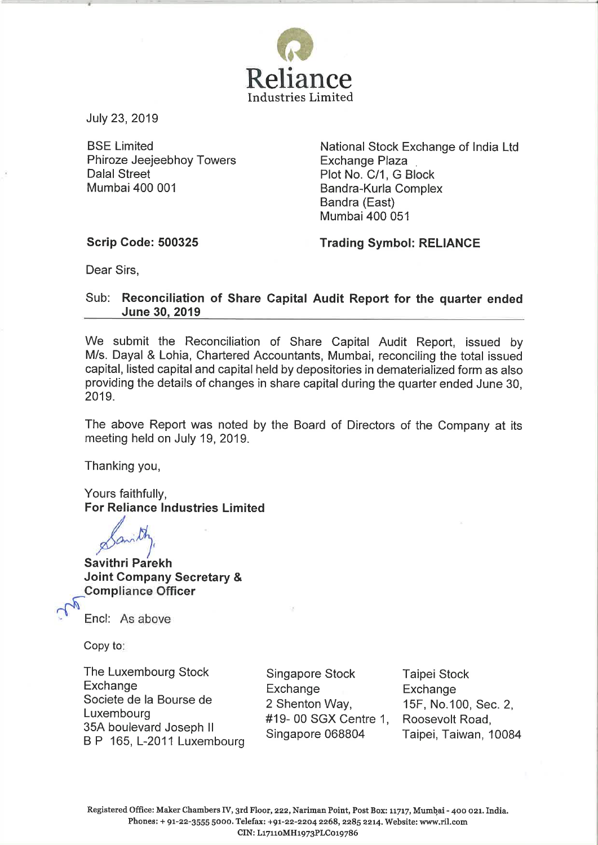

July 23, 2019

**BSE Limited** Phiroze Jeeieebhov Towers **Dalal Street** Mumbai 400 001

National Stock Exchange of India Ltd **Exchange Plaza** Plot No. C/1, G Block Bandra-Kurla Complex Bandra (East) Mumbai 400 051

## **Scrip Code: 500325**

**Trading Symbol: RELIANCE** 

Dear Sirs.

## Sub: Reconciliation of Share Capital Audit Report for the quarter ended June 30, 2019

We submit the Reconciliation of Share Capital Audit Report, issued by M/s. Dayal & Lohia. Chartered Accountants, Mumbai, reconciling the total issued capital, listed capital and capital held by depositories in dematerialized form as also providing the details of changes in share capital during the quarter ended June 30, 2019.

The above Report was noted by the Board of Directors of the Company at its meeting held on July 19, 2019.

Thanking you,

Yours faithfully, **For Reliance Industries Limited** 

**Savithri Parekh Joint Company Secretary & Compliance Officer** 



Encl: As above

Copy to:

The Luxembourg Stock Exchange Societe de la Bourse de Luxembourg 35A boulevard Joseph II B P 165, L-2011 Luxembourg

Singapore Stock Exchange 2 Shenton Way, #19-00 SGX Centre 1, Singapore 068804

**Taipei Stock** Exchange 15F, No.100, Sec. 2, Roosevolt Road, Taipei, Taiwan, 10084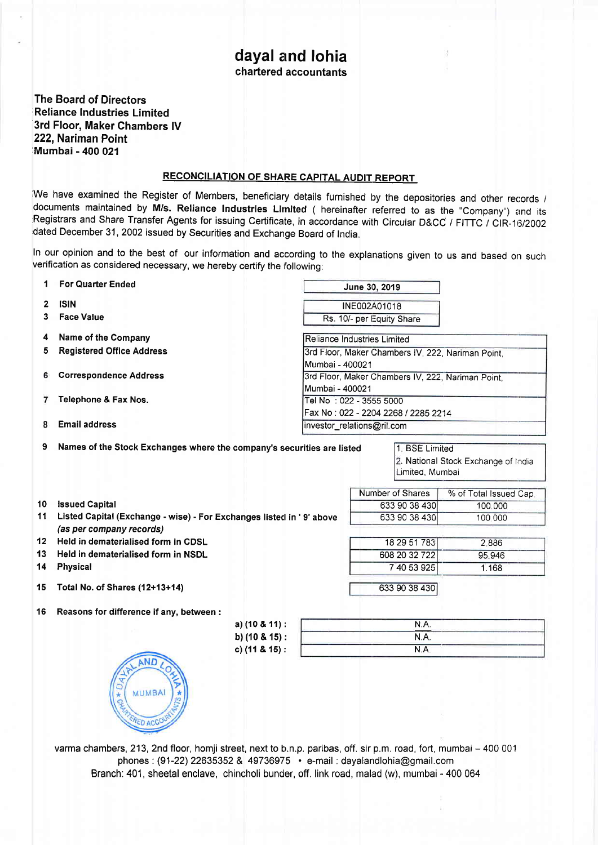## dayal and lohia chartered accountants

The Board of Directors Reliance Industries Limited 3rd Floor, Maker Chambers lV 222, Nariman Point Mumbai - 400 021

## RECONCILIATION OF SHARE CAPITAL AUDIT REPORT

We have examined the Register of Members, beneficiary details furnished by the depositories and other records / documents maintained by M/s. Reliance Industries Limited ( hereinafter referred to as the "Company") and its Registrars and Share Transfer Agents for issuing Certificate, in accordance with Circular D&CC / FITTC / CIR-16/2002 dated December 31, 2002 issued by securities and Exchange Board of India.

In our opinion and to the best of our information and according to the explanations given to us and based on such verification as considered necessary, we hereby certify the following:

| 1  | <b>For Quarter Ended</b>                                               |                                                                      | June 30, 2019                                                                           |                  |                        |  |  |
|----|------------------------------------------------------------------------|----------------------------------------------------------------------|-----------------------------------------------------------------------------------------|------------------|------------------------|--|--|
| 2  | <b>ISIN</b>                                                            |                                                                      | INE002A01018                                                                            |                  |                        |  |  |
| 3  | <b>Face Value</b>                                                      |                                                                      | Rs. 10/- per Equity Share                                                               |                  |                        |  |  |
| 4  | Name of the Company                                                    |                                                                      | Reliance Industries Limited                                                             |                  |                        |  |  |
| 5  | <b>Registered Office Address</b>                                       |                                                                      | 3rd Floor, Maker Chambers IV, 222, Nariman Point,                                       |                  |                        |  |  |
| 6  | <b>Correspondence Address</b>                                          |                                                                      | Mumbai - 400021<br>3rd Floor, Maker Chambers IV, 222, Nariman Point,<br>Mumbai - 400021 |                  |                        |  |  |
| 7  | Telephone & Fax Nos.                                                   |                                                                      | Tel No : 022 - 3555 5000<br>Fax No: 022 - 2204 2268 / 2285 2214                         |                  |                        |  |  |
| 8  | <b>Email address</b>                                                   |                                                                      | investor_relations@ril.com                                                              |                  |                        |  |  |
| 9  | Names of the Stock Exchanges where the company's securities are listed |                                                                      | 1. BSE Limited<br>2. National Stock Exchange of India<br>Limited, Mumbai                |                  |                        |  |  |
|    |                                                                        |                                                                      |                                                                                         | Number of Shares | % of Total Issued Cap. |  |  |
| 10 | <b>Issued Capital</b>                                                  |                                                                      |                                                                                         | 633 90 38 430    | 100.000                |  |  |
| 11 | (as per company records)                                               | Listed Capital (Exchange - wise) - For Exchanges listed in '9' above |                                                                                         |                  | 100 000                |  |  |
| 12 | Held in dematerialised form in CDSL                                    |                                                                      |                                                                                         | 18 29 51 783     | 2.886                  |  |  |
| 13 | Held in dematerialised form in NSDL                                    |                                                                      |                                                                                         | 608 20 32 722    | 95.946                 |  |  |
| 14 | <b>Physical</b>                                                        |                                                                      |                                                                                         | 7 40 53 925      | 1.168                  |  |  |
| 15 | Total No. of Shares (12+13+14)                                         |                                                                      |                                                                                         | 633 90 38 430    |                        |  |  |
| 16 | Reasons for difference if any, between :                               |                                                                      |                                                                                         |                  |                        |  |  |
|    |                                                                        | a) $(10 & 11)$ :                                                     |                                                                                         | N.A.             |                        |  |  |
|    |                                                                        | b) (10 & 15):                                                        |                                                                                         |                  |                        |  |  |
|    |                                                                        | c) $(11 & 8 & 15)$ :                                                 |                                                                                         | N.A.             |                        |  |  |
|    | $*DA$<br><b>MUMBAI</b><br>$\star$<br>RED ACCO                          |                                                                      |                                                                                         |                  |                        |  |  |

varma chambers, 213, 2nd floor, homji street, next to b.n.p. paribas, off. sir p.m. road, fort, mumbai – 400 001 phones : (91-22) 22635352 & 49736975 · e-mail : dayalandlohia@gmail.com Branch: 401, sheetal enclave, chincholi bunder, off. link road, malad (w), mumbai - 400 064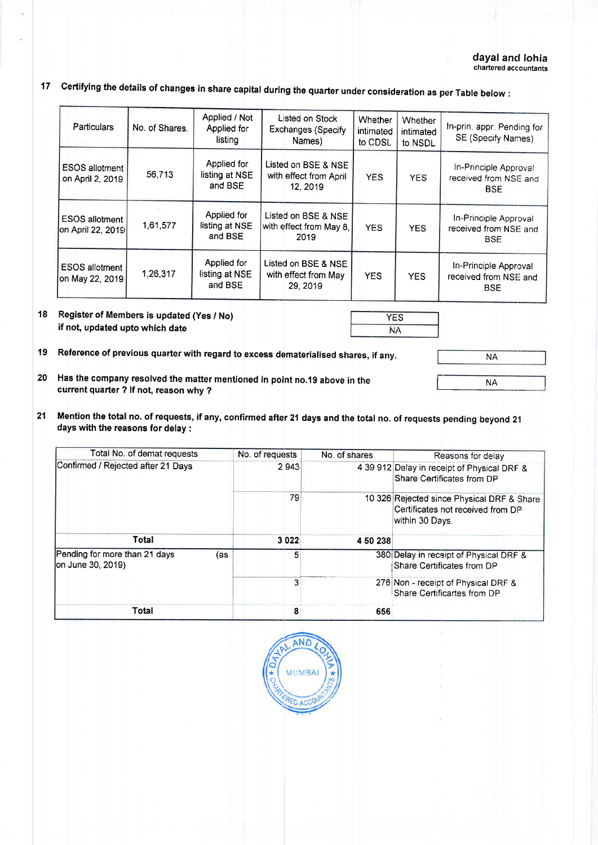17 certifying the details of changes in share capital during the quarter under consideration as per Table below :

| Particulars                                | No. of Shares. | Applied / Not<br>Applied for<br>listing  | Listed on Stock<br>Exchanges (Specify<br>Names)           | <b>Whether</b><br>intimated<br>to CDSL | Whether<br>intimated<br>to NSDL | In-prin. appr. Pending for<br>SE (Specify Names)             |
|--------------------------------------------|----------------|------------------------------------------|-----------------------------------------------------------|----------------------------------------|---------------------------------|--------------------------------------------------------------|
| ESOS allotment<br>on April 2, 2019         | 56,713         | Applied for<br>listing at NSE<br>and BSE | Listed on BSE & NSE<br>with effect from April<br>12, 2019 | <b>YES</b>                             | <b>YES</b>                      | In-Principle Approval<br>received from NSE and<br><b>BSE</b> |
| <b>ESOS</b> allotment<br>on April 22, 2019 | 1,61,577       | Applied for<br>listing at NSE<br>and BSE | Listed on BSE & NSE<br>with effect from May 8.<br>2019    | <b>YES</b>                             | <b>YES</b>                      | In-Principle Approval<br>received from NSE and<br><b>BSE</b> |
| ESOS allotment  <br>on May 22, 2019        | 1,26,317       | Applied for<br>listing at NSE<br>and BSE | Listed on BSE & NSE<br>with effect from May<br>29.2019    | <b>YES</b>                             | <b>YES</b>                      | In-Principle Approval<br>received from NSE and<br><b>BSE</b> |

- 18 Register of Members is updated (Yes / No) if not, updated upto which date
- 19 Reference of previous quarter with regard to excess dematerialised shares, if any.

NA INA\_ **NA** 

- 20 Has the company resolved the matter mentioned in point no.19 above in the current quarter ? lf not, reason why ?
- 21 Mention the total no. of requests, if any, confirmed after 21 days and the total no. of requests pending beyond <sup>21</sup> days with the reasons for delay :

| Total No. of demat requests                               | No. of requests | No. of shares | Reasons for delay                                                                                  |  |
|-----------------------------------------------------------|-----------------|---------------|----------------------------------------------------------------------------------------------------|--|
| Confirmed / Rejected after 21 Days                        | 2943            |               | 4 39 912 Delay in receipt of Physical DRF &<br>Share Certificates from DP                          |  |
|                                                           | 79              |               | 10 326 Rejected since Physical DRF & Share<br>Certificates not received from DP<br>within 30 Davs. |  |
| Total                                                     | 3022            | 450238        |                                                                                                    |  |
| Pending for more than 21 days<br>(as<br>on June 30, 2019) | 5               |               | 380 Delay in receipt of Physical DRF &<br>Share Certificates from DP                               |  |
|                                                           | 3               |               | 276 Non - receipt of Physical DRF &<br>Share Certificartes from DP                                 |  |
| Total                                                     |                 | 656           |                                                                                                    |  |



YES

**NA**